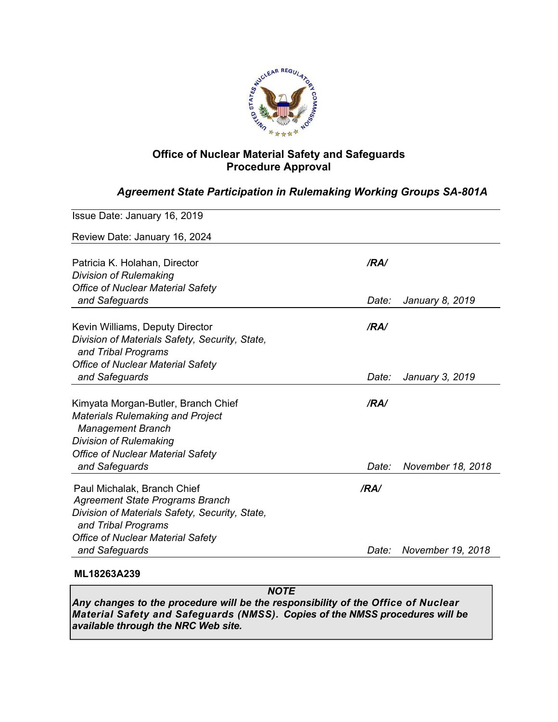

# **Office of Nuclear Material Safety and Safeguards Procedure Approval**

# *Agreement State Participation in Rulemaking Working Groups SA-801A*

| Issue Date: January 16, 2019                                        |       |                   |
|---------------------------------------------------------------------|-------|-------------------|
| Review Date: January 16, 2024                                       |       |                   |
| Patricia K. Holahan, Director                                       | /RA/  |                   |
| <b>Division of Rulemaking</b>                                       |       |                   |
| <b>Office of Nuclear Material Safety</b>                            |       |                   |
| and Safeguards                                                      | Date: | January 8, 2019   |
| Kevin Williams, Deputy Director                                     | /RA/  |                   |
| Division of Materials Safety, Security, State,                      |       |                   |
| and Tribal Programs                                                 |       |                   |
| <b>Office of Nuclear Material Safety</b>                            |       |                   |
| and Safeguards                                                      | Date: | January 3, 2019   |
| Kimyata Morgan-Butler, Branch Chief                                 | /RA/  |                   |
| <b>Materials Rulemaking and Project</b><br><b>Management Branch</b> |       |                   |
| <b>Division of Rulemaking</b>                                       |       |                   |
| <b>Office of Nuclear Material Safety</b>                            |       |                   |
| and Safeguards                                                      | Date: | November 18, 2018 |
| Paul Michalak, Branch Chief                                         | /RA/  |                   |
| <b>Agreement State Programs Branch</b>                              |       |                   |
| Division of Materials Safety, Security, State,                      |       |                   |
| and Tribal Programs                                                 |       |                   |
| <b>Office of Nuclear Material Safety</b>                            |       |                   |
| and Safeguards                                                      | Date: | November 19, 2018 |
|                                                                     |       |                   |

## **ML18263A239**

*NOTE Any changes to the procedure will be the responsibility of the Office of Nuclear Material Safety and Safeguards (NMSS). Copies of the NMSS procedures will be available through the NRC Web site.*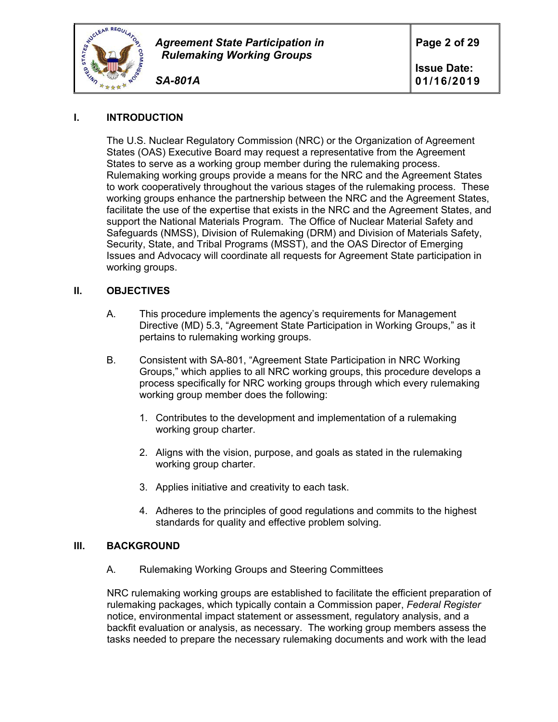

*SA-801A*

## **I. INTRODUCTION**

The U.S. Nuclear Regulatory Commission (NRC) or the Organization of Agreement States (OAS) Executive Board may request a representative from the Agreement States to serve as a working group member during the rulemaking process. Rulemaking working groups provide a means for the NRC and the Agreement States to work cooperatively throughout the various stages of the rulemaking process. These working groups enhance the partnership between the NRC and the Agreement States, facilitate the use of the expertise that exists in the NRC and the Agreement States, and support the National Materials Program. The Office of Nuclear Material Safety and Safeguards (NMSS), Division of Rulemaking (DRM) and Division of Materials Safety, Security, State, and Tribal Programs (MSST), and the OAS Director of Emerging Issues and Advocacy will coordinate all requests for Agreement State participation in working groups.

### **II. OBJECTIVES**

- A. This procedure implements the agency's requirements for Management Directive (MD) 5.3, "Agreement State Participation in Working Groups," as it pertains to rulemaking working groups.
- B. Consistent with SA-801, "Agreement State Participation in NRC Working Groups," which applies to all NRC working groups, this procedure develops a process specifically for NRC working groups through which every rulemaking working group member does the following:
	- 1. Contributes to the development and implementation of a rulemaking working group charter.
	- 2. Aligns with the vision, purpose, and goals as stated in the rulemaking working group charter.
	- 3. Applies initiative and creativity to each task.
	- 4. Adheres to the principles of good regulations and commits to the highest standards for quality and effective problem solving.

### **III. BACKGROUND**

A. Rulemaking Working Groups and Steering Committees

NRC rulemaking working groups are established to facilitate the efficient preparation of rulemaking packages, which typically contain a Commission paper, *Federal Register* notice, environmental impact statement or assessment, regulatory analysis, and a backfit evaluation or analysis, as necessary. The working group members assess the tasks needed to prepare the necessary rulemaking documents and work with the lead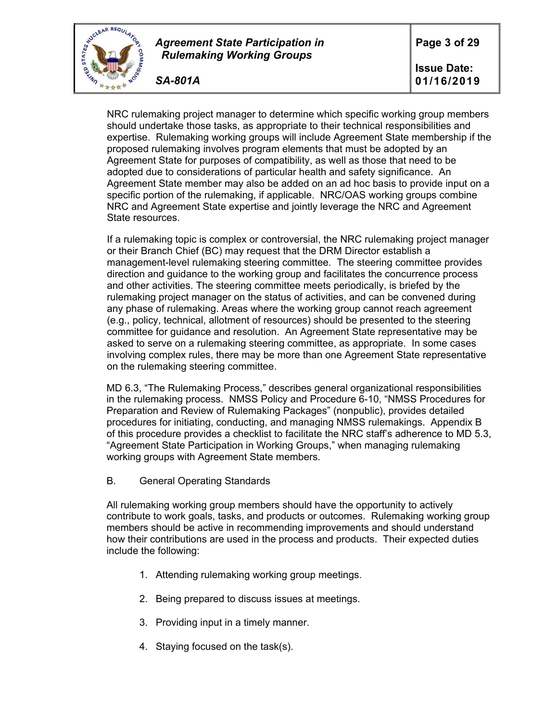

*SA-801A*

NRC rulemaking project manager to determine which specific working group members should undertake those tasks, as appropriate to their technical responsibilities and expertise. Rulemaking working groups will include Agreement State membership if the proposed rulemaking involves program elements that must be adopted by an Agreement State for purposes of compatibility, as well as those that need to be adopted due to considerations of particular health and safety significance. An Agreement State member may also be added on an ad hoc basis to provide input on a specific portion of the rulemaking, if applicable. NRC/OAS working groups combine NRC and Agreement State expertise and jointly leverage the NRC and Agreement State resources.

If a rulemaking topic is complex or controversial, the NRC rulemaking project manager or their Branch Chief (BC) may request that the DRM Director establish a management-level rulemaking steering committee. The steering committee provides direction and guidance to the working group and facilitates the concurrence process and other activities. The steering committee meets periodically, is briefed by the rulemaking project manager on the status of activities, and can be convened during any phase of rulemaking. Areas where the working group cannot reach agreement (e.g., policy, technical, allotment of resources) should be presented to the steering committee for guidance and resolution. An Agreement State representative may be asked to serve on a rulemaking steering committee, as appropriate. In some cases involving complex rules, there may be more than one Agreement State representative on the rulemaking steering committee.

MD 6.3, "The Rulemaking Process," describes general organizational responsibilities in the rulemaking process. NMSS Policy and Procedure 6-10, "NMSS Procedures for Preparation and Review of Rulemaking Packages" (nonpublic), provides detailed procedures for initiating, conducting, and managing NMSS rulemakings. Appendix B of this procedure provides a checklist to facilitate the NRC staff's adherence to MD 5.3, "Agreement State Participation in Working Groups," when managing rulemaking working groups with Agreement State members.

B. General Operating Standards

All rulemaking working group members should have the opportunity to actively contribute to work goals, tasks, and products or outcomes. Rulemaking working group members should be active in recommending improvements and should understand how their contributions are used in the process and products. Their expected duties include the following:

- 1. Attending rulemaking working group meetings.
- 2. Being prepared to discuss issues at meetings.
- 3. Providing input in a timely manner.
- 4. Staying focused on the task(s).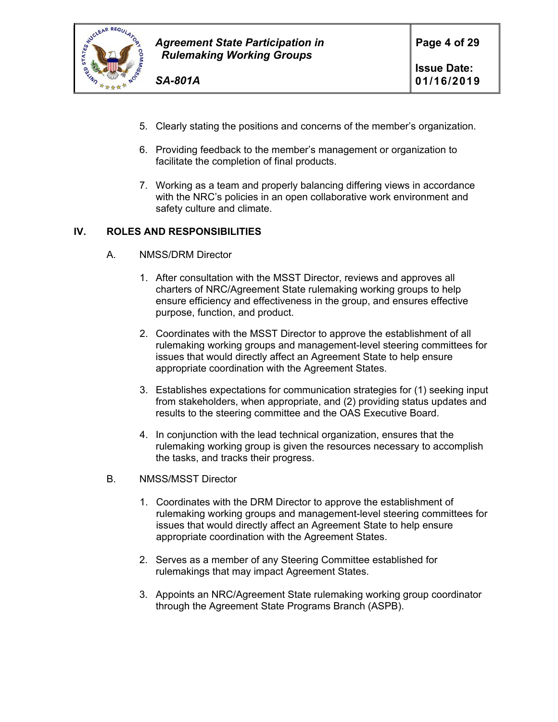

- 5. Clearly stating the positions and concerns of the member's organization.
- 6. Providing feedback to the member's management or organization to facilitate the completion of final products.
- 7. Working as a team and properly balancing differing views in accordance with the NRC's policies in an open collaborative work environment and safety culture and climate.

### **IV. ROLES AND RESPONSIBILITIES**

- A. NMSS/DRM Director
	- 1. After consultation with the MSST Director, reviews and approves all charters of NRC/Agreement State rulemaking working groups to help ensure efficiency and effectiveness in the group, and ensures effective purpose, function, and product.
	- 2. Coordinates with the MSST Director to approve the establishment of all rulemaking working groups and management-level steering committees for issues that would directly affect an Agreement State to help ensure appropriate coordination with the Agreement States.
	- 3. Establishes expectations for communication strategies for (1) seeking input from stakeholders, when appropriate, and (2) providing status updates and results to the steering committee and the OAS Executive Board.
	- 4. In conjunction with the lead technical organization, ensures that the rulemaking working group is given the resources necessary to accomplish the tasks, and tracks their progress.
- B. NMSS/MSST Director
	- 1. Coordinates with the DRM Director to approve the establishment of rulemaking working groups and management-level steering committees for issues that would directly affect an Agreement State to help ensure appropriate coordination with the Agreement States.
	- 2. Serves as a member of any Steering Committee established for rulemakings that may impact Agreement States.
	- 3. Appoints an NRC/Agreement State rulemaking working group coordinator through the Agreement State Programs Branch (ASPB).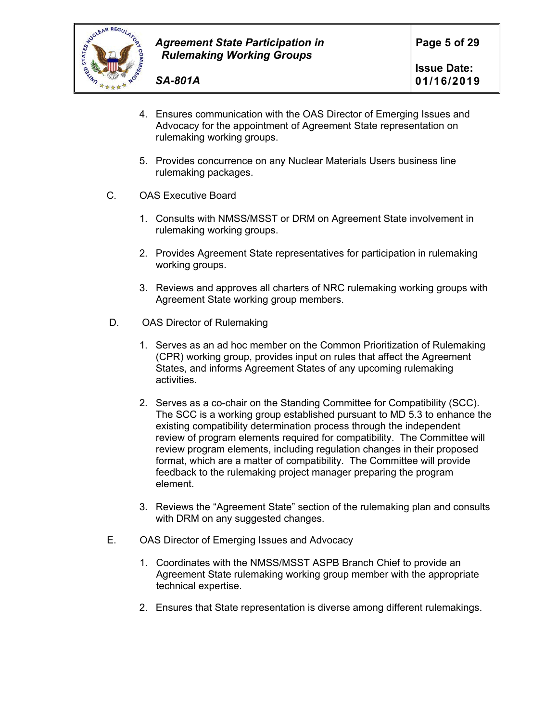

- 4. Ensures communication with the OAS Director of Emerging Issues and Advocacy for the appointment of Agreement State representation on rulemaking working groups.
- 5. Provides concurrence on any Nuclear Materials Users business line rulemaking packages.
- C. OAS Executive Board
	- 1. Consults with NMSS/MSST or DRM on Agreement State involvement in rulemaking working groups.
	- 2. Provides Agreement State representatives for participation in rulemaking working groups.
	- 3. Reviews and approves all charters of NRC rulemaking working groups with Agreement State working group members.
- D. OAS Director of Rulemaking
	- 1. Serves as an ad hoc member on the Common Prioritization of Rulemaking (CPR) working group, provides input on rules that affect the Agreement States, and informs Agreement States of any upcoming rulemaking activities.
	- 2. Serves as a co-chair on the Standing Committee for Compatibility (SCC). The SCC is a working group established pursuant to MD 5.3 to enhance the existing compatibility determination process through the independent review of program elements required for compatibility. The Committee will review program elements, including regulation changes in their proposed format, which are a matter of compatibility. The Committee will provide feedback to the rulemaking project manager preparing the program element.
	- 3. Reviews the "Agreement State" section of the rulemaking plan and consults with DRM on any suggested changes.
- E. OAS Director of Emerging Issues and Advocacy
	- 1. Coordinates with the NMSS/MSST ASPB Branch Chief to provide an Agreement State rulemaking working group member with the appropriate technical expertise.
	- 2. Ensures that State representation is diverse among different rulemakings.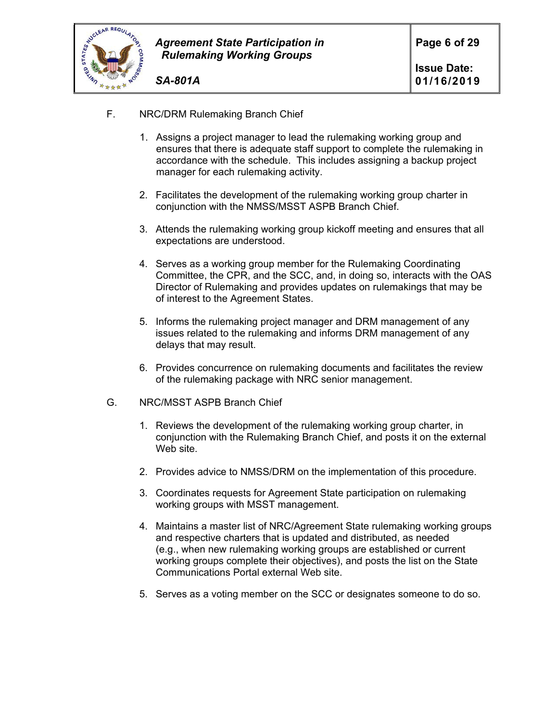

- *SA-801A*
- F. NRC/DRM Rulemaking Branch Chief
	- 1. Assigns a project manager to lead the rulemaking working group and ensures that there is adequate staff support to complete the rulemaking in accordance with the schedule. This includes assigning a backup project manager for each rulemaking activity.
	- 2. Facilitates the development of the rulemaking working group charter in conjunction with the NMSS/MSST ASPB Branch Chief.
	- 3. Attends the rulemaking working group kickoff meeting and ensures that all expectations are understood.
	- 4. Serves as a working group member for the Rulemaking Coordinating Committee, the CPR, and the SCC, and, in doing so, interacts with the OAS Director of Rulemaking and provides updates on rulemakings that may be of interest to the Agreement States.
	- 5. Informs the rulemaking project manager and DRM management of any issues related to the rulemaking and informs DRM management of any delays that may result.
	- 6. Provides concurrence on rulemaking documents and facilitates the review of the rulemaking package with NRC senior management.
- G. NRC/MSST ASPB Branch Chief
	- 1. Reviews the development of the rulemaking working group charter, in conjunction with the Rulemaking Branch Chief, and posts it on the external Web site.
	- 2. Provides advice to NMSS/DRM on the implementation of this procedure.
	- 3. Coordinates requests for Agreement State participation on rulemaking working groups with MSST management.
	- 4. Maintains a master list of NRC/Agreement State rulemaking working groups and respective charters that is updated and distributed, as needed (e.g., when new rulemaking working groups are established or current working groups complete their objectives), and posts the list on the State Communications Portal external Web site.
	- 5. Serves as a voting member on the SCC or designates someone to do so.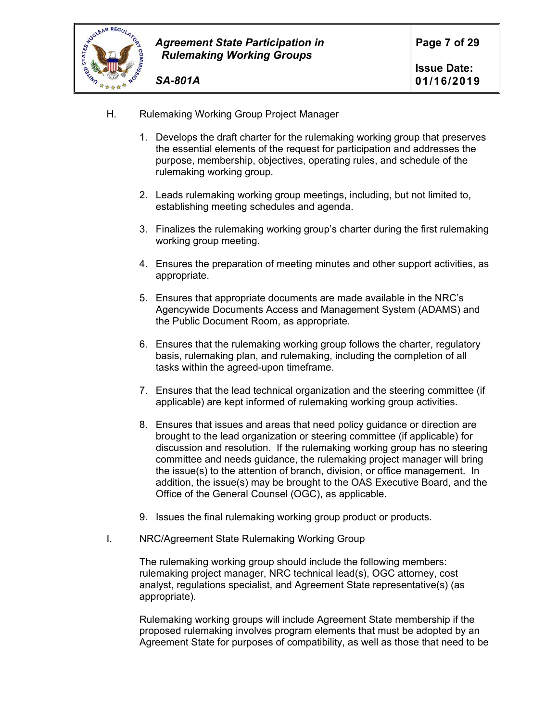

H. Rulemaking Working Group Project Manager

*SA-801A*

- 1. Develops the draft charter for the rulemaking working group that preserves the essential elements of the request for participation and addresses the purpose, membership, objectives, operating rules, and schedule of the rulemaking working group.
- 2. Leads rulemaking working group meetings, including, but not limited to, establishing meeting schedules and agenda.
- 3. Finalizes the rulemaking working group's charter during the first rulemaking working group meeting.
- 4. Ensures the preparation of meeting minutes and other support activities, as appropriate.
- 5. Ensures that appropriate documents are made available in the NRC's Agencywide Documents Access and Management System (ADAMS) and the Public Document Room, as appropriate.
- 6. Ensures that the rulemaking working group follows the charter, regulatory basis, rulemaking plan, and rulemaking, including the completion of all tasks within the agreed-upon timeframe.
- 7. Ensures that the lead technical organization and the steering committee (if applicable) are kept informed of rulemaking working group activities.
- 8. Ensures that issues and areas that need policy guidance or direction are brought to the lead organization or steering committee (if applicable) for discussion and resolution. If the rulemaking working group has no steering committee and needs guidance, the rulemaking project manager will bring the issue(s) to the attention of branch, division, or office management. In addition, the issue(s) may be brought to the OAS Executive Board, and the Office of the General Counsel (OGC), as applicable.
- 9. Issues the final rulemaking working group product or products.
- I. NRC/Agreement State Rulemaking Working Group

The rulemaking working group should include the following members: rulemaking project manager, NRC technical lead(s), OGC attorney, cost analyst, regulations specialist, and Agreement State representative(s) (as appropriate).

Rulemaking working groups will include Agreement State membership if the proposed rulemaking involves program elements that must be adopted by an Agreement State for purposes of compatibility, as well as those that need to be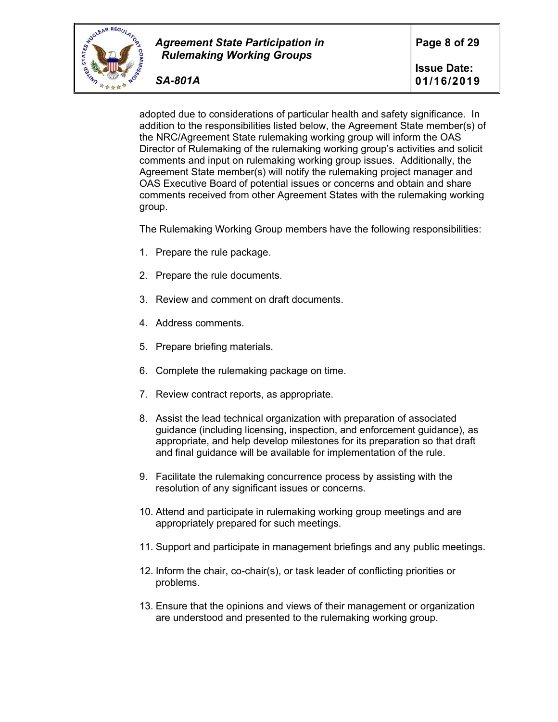

adopted due to considerations of particular health and safety significance. In addition to the responsibilities listed below, the Agreement State member(s) of the NRC/Agreement State rulemaking working group will inform the OAS Director of Rulemaking of the rulemaking working group's activities and solicit comments and input on rulemaking working group issues. Additionally, the Agreement State member(s) will notify the rulemaking project manager and OAS Executive Board of potential issues or concerns and obtain and share comments received from other Agreement States with the rulemaking working group.

The Rulemaking Working Group members have the following responsibilities:

- 1. Prepare the rule package.
- 2. Prepare the rule documents.
- 3. Review and comment on draft documents.
- 4. Address comments.
- 5. Prepare briefing materials.
- 6. Complete the rulemaking package on time.
- 7. Review contract reports, as appropriate.
- 8. Assist the lead technical organization with preparation of associated guidance (including licensing, inspection, and enforcement guidance), as appropriate, and help develop milestones for its preparation so that draft and final guidance will be available for implementation of the rule.
- 9. Facilitate the rulemaking concurrence process by assisting with the resolution of any significant issues or concerns.
- 10. Attend and participate in rulemaking working group meetings and are appropriately prepared for such meetings.
- 11. Support and participate in management briefings and any public meetings.
- 12. Inform the chair, co-chair(s), or task leader of conflicting priorities or problems.
- 13. Ensure that the opinions and views of their management or organization are understood and presented to the rulemaking working group.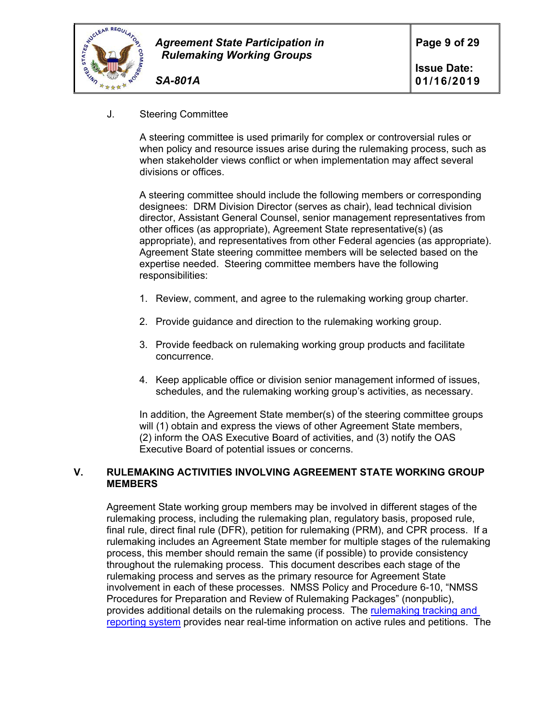

### *SA-801A*

### J. Steering Committee

A steering committee is used primarily for complex or controversial rules or when policy and resource issues arise during the rulemaking process, such as when stakeholder views conflict or when implementation may affect several divisions or offices.

A steering committee should include the following members or corresponding designees: DRM Division Director (serves as chair), lead technical division director, Assistant General Counsel, senior management representatives from other offices (as appropriate), Agreement State representative(s) (as appropriate), and representatives from other Federal agencies (as appropriate). Agreement State steering committee members will be selected based on the expertise needed. Steering committee members have the following responsibilities:

- 1. Review, comment, and agree to the rulemaking working group charter.
- 2. Provide guidance and direction to the rulemaking working group.
- 3. Provide feedback on rulemaking working group products and facilitate concurrence.
- 4. Keep applicable office or division senior management informed of issues, schedules, and the rulemaking working group's activities, as necessary.

In addition, the Agreement State member(s) of the steering committee groups will (1) obtain and express the views of other Agreement State members, (2) inform the OAS Executive Board of activities, and (3) notify the OAS Executive Board of potential issues or concerns.

### **V. RULEMAKING ACTIVITIES INVOLVING AGREEMENT STATE WORKING GROUP MEMBERS**

Agreement State working group members may be involved in different stages of the rulemaking process, including the rulemaking plan, regulatory basis, proposed rule, final rule, direct final rule (DFR), petition for rulemaking (PRM), and CPR process. If a rulemaking includes an Agreement State member for multiple stages of the rulemaking process, this member should remain the same (if possible) to provide consistency throughout the rulemaking process. This document describes each stage of the rulemaking process and serves as the primary resource for Agreement State involvement in each of these processes. NMSS Policy and Procedure 6-10, "NMSS Procedures for Preparation and Review of Rulemaking Packages" (nonpublic), provides additional details on the rulemaking process. The rulemaking tracking and reporting system provides near real-time information on active rules and petitions. The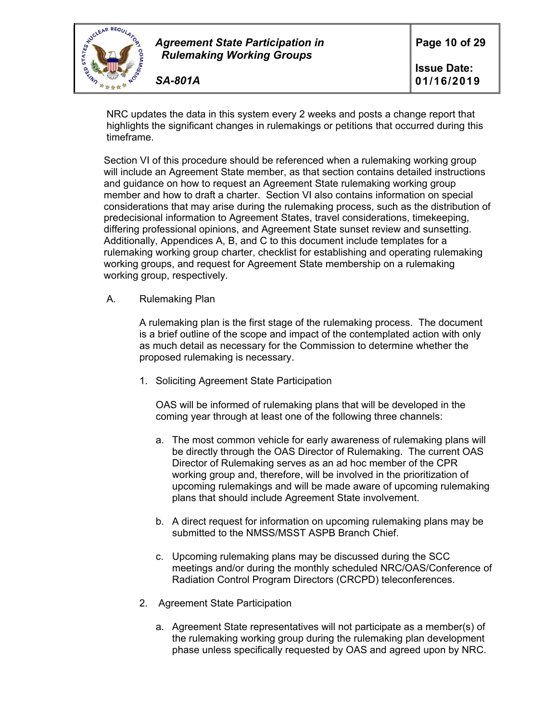

NRC updates the data in this system every 2 weeks and posts a change report that highlights the significant changes in rulemakings or petitions that occurred during this timeframe.

Section VI of this procedure should be referenced when a rulemaking working group will include an Agreement State member, as that section contains detailed instructions and guidance on how to request an Agreement State rulemaking working group member and how to draft a charter. Section VI also contains information on special considerations that may arise during the rulemaking process, such as the distribution of predecisional information to Agreement States, travel considerations, timekeeping, differing professional opinions, and Agreement State sunset review and sunsetting. Additionally, Appendices A, B, and C to this document include templates for a rulemaking working group charter, checklist for establishing and operating rulemaking working groups, and request for Agreement State membership on a rulemaking working group, respectively.

A. Rulemaking Plan

 A rulemaking plan is the first stage of the rulemaking process. The document is a brief outline of the scope and impact of the contemplated action with only as much detail as necessary for the Commission to determine whether the proposed rulemaking is necessary.

1. Soliciting Agreement State Participation

OAS will be informed of rulemaking plans that will be developed in the coming year through at least one of the following three channels:

- a. The most common vehicle for early awareness of rulemaking plans will be directly through the OAS Director of Rulemaking. The current OAS Director of Rulemaking serves as an ad hoc member of the CPR working group and, therefore, will be involved in the prioritization of upcoming rulemakings and will be made aware of upcoming rulemaking plans that should include Agreement State involvement.
- b. A direct request for information on upcoming rulemaking plans may be submitted to the NMSS/MSST ASPB Branch Chief.
- c. Upcoming rulemaking plans may be discussed during the SCC meetings and/or during the monthly scheduled NRC/OAS/Conference of Radiation Control Program Directors (CRCPD) teleconferences.
- 2. Agreement State Participation
	- a. Agreement State representatives will not participate as a member(s) of the rulemaking working group during the rulemaking plan development phase unless specifically requested by OAS and agreed upon by NRC.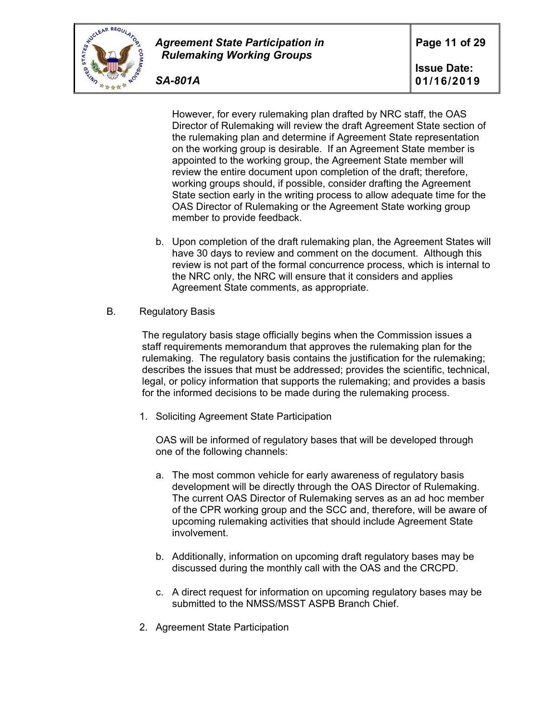

*SA-801A*

However, for every rulemaking plan drafted by NRC staff, the OAS Director of Rulemaking will review the draft Agreement State section of the rulemaking plan and determine if Agreement State representation on the working group is desirable. If an Agreement State member is appointed to the working group, the Agreement State member will review the entire document upon completion of the draft; therefore, working groups should, if possible, consider drafting the Agreement State section early in the writing process to allow adequate time for the OAS Director of Rulemaking or the Agreement State working group member to provide feedback.

- b. Upon completion of the draft rulemaking plan, the Agreement States will have 30 days to review and comment on the document. Although this review is not part of the formal concurrence process, which is internal to the NRC only, the NRC will ensure that it considers and applies Agreement State comments, as appropriate.
- B. Regulatory Basis

The regulatory basis stage officially begins when the Commission issues a staff requirements memorandum that approves the rulemaking plan for the rulemaking. The regulatory basis contains the justification for the rulemaking; describes the issues that must be addressed; provides the scientific, technical, legal, or policy information that supports the rulemaking; and provides a basis for the informed decisions to be made during the rulemaking process.

1. Soliciting Agreement State Participation

OAS will be informed of regulatory bases that will be developed through one of the following channels:

- a. The most common vehicle for early awareness of regulatory basis development will be directly through the OAS Director of Rulemaking. The current OAS Director of Rulemaking serves as an ad hoc member of the CPR working group and the SCC and, therefore, will be aware of upcoming rulemaking activities that should include Agreement State involvement.
- b. Additionally, information on upcoming draft regulatory bases may be discussed during the monthly call with the OAS and the CRCPD.
- c. A direct request for information on upcoming regulatory bases may be submitted to the NMSS/MSST ASPB Branch Chief.
- 2. Agreement State Participation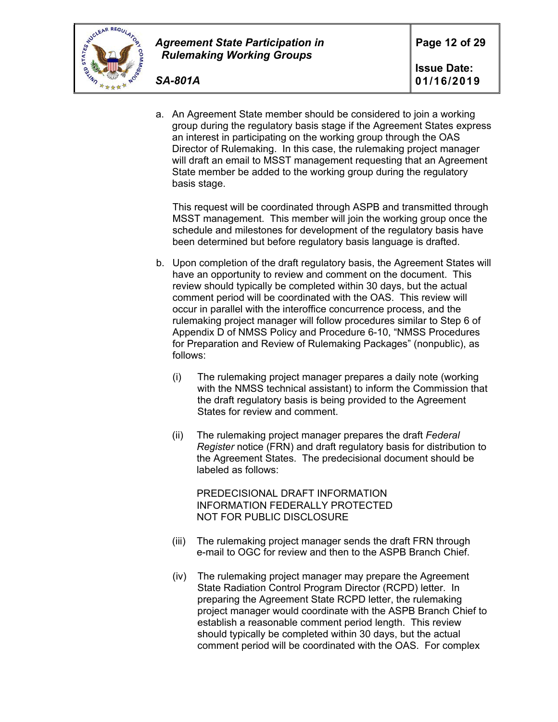

**Issue Date: 01/16/2019** 

a. An Agreement State member should be considered to join a working group during the regulatory basis stage if the Agreement States express an interest in participating on the working group through the OAS Director of Rulemaking. In this case, the rulemaking project manager will draft an email to MSST management requesting that an Agreement State member be added to the working group during the regulatory basis stage.

This request will be coordinated through ASPB and transmitted through MSST management. This member will join the working group once the schedule and milestones for development of the regulatory basis have been determined but before regulatory basis language is drafted.

- b. Upon completion of the draft regulatory basis, the Agreement States will have an opportunity to review and comment on the document. This review should typically be completed within 30 days, but the actual comment period will be coordinated with the OAS. This review will occur in parallel with the interoffice concurrence process, and the rulemaking project manager will follow procedures similar to Step 6 of Appendix D of NMSS Policy and Procedure 6-10, "NMSS Procedures for Preparation and Review of Rulemaking Packages" (nonpublic), as follows:
	- (i) The rulemaking project manager prepares a daily note (working with the NMSS technical assistant) to inform the Commission that the draft regulatory basis is being provided to the Agreement States for review and comment.
	- (ii) The rulemaking project manager prepares the draft *Federal Register* notice (FRN) and draft regulatory basis for distribution to the Agreement States. The predecisional document should be labeled as follows:

PREDECISIONAL DRAFT INFORMATION INFORMATION FEDERALLY PROTECTED NOT FOR PUBLIC DISCLOSURE

- (iii) The rulemaking project manager sends the draft FRN through e-mail to OGC for review and then to the ASPB Branch Chief.
- (iv) The rulemaking project manager may prepare the Agreement State Radiation Control Program Director (RCPD) letter. In preparing the Agreement State RCPD letter, the rulemaking project manager would coordinate with the ASPB Branch Chief to establish a reasonable comment period length. This review should typically be completed within 30 days, but the actual comment period will be coordinated with the OAS. For complex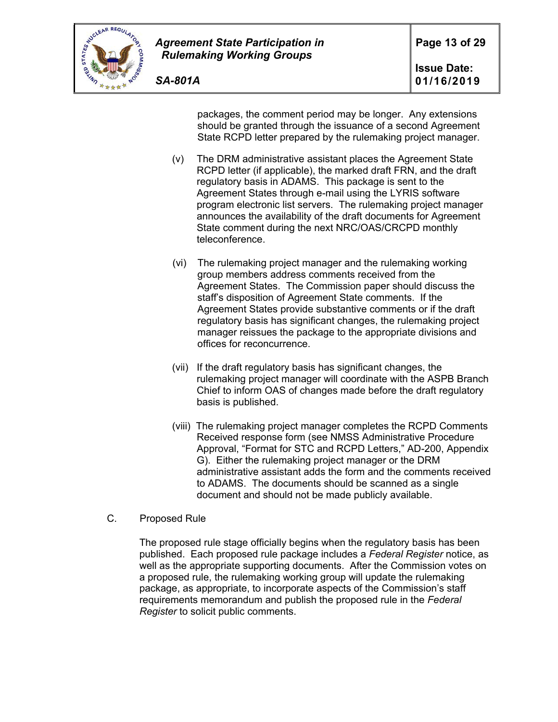

packages, the comment period may be longer. Any extensions should be granted through the issuance of a second Agreement State RCPD letter prepared by the rulemaking project manager.

- (v) The DRM administrative assistant places the Agreement State RCPD letter (if applicable), the marked draft FRN, and the draft regulatory basis in ADAMS. This package is sent to the Agreement States through e-mail using the LYRIS software program electronic list servers. The rulemaking project manager announces the availability of the draft documents for Agreement State comment during the next NRC/OAS/CRCPD monthly teleconference.
- (vi) The rulemaking project manager and the rulemaking working group members address comments received from the Agreement States. The Commission paper should discuss the staff's disposition of Agreement State comments. If the Agreement States provide substantive comments or if the draft regulatory basis has significant changes, the rulemaking project manager reissues the package to the appropriate divisions and offices for reconcurrence.
- (vii) If the draft regulatory basis has significant changes, the rulemaking project manager will coordinate with the ASPB Branch Chief to inform OAS of changes made before the draft regulatory basis is published.
- (viii) The rulemaking project manager completes the RCPD Comments Received response form (see NMSS Administrative Procedure Approval, "Format for STC and RCPD Letters," AD-200, Appendix G). Either the rulemaking project manager or the DRM administrative assistant adds the form and the comments received to ADAMS. The documents should be scanned as a single document and should not be made publicly available.
- C. Proposed Rule

The proposed rule stage officially begins when the regulatory basis has been published. Each proposed rule package includes a *Federal Register* notice, as well as the appropriate supporting documents. After the Commission votes on a proposed rule, the rulemaking working group will update the rulemaking package, as appropriate, to incorporate aspects of the Commission's staff requirements memorandum and publish the proposed rule in the *Federal Register* to solicit public comments.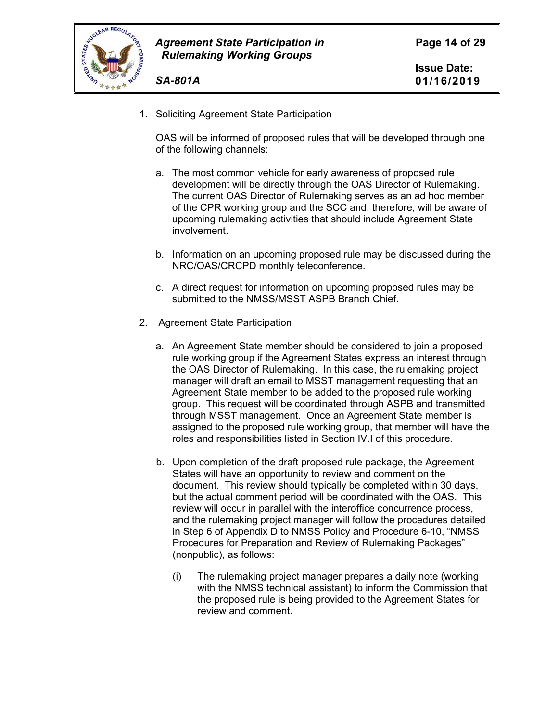

- *SA-801A*
- 1. Soliciting Agreement State Participation

OAS will be informed of proposed rules that will be developed through one of the following channels:

- a. The most common vehicle for early awareness of proposed rule development will be directly through the OAS Director of Rulemaking. The current OAS Director of Rulemaking serves as an ad hoc member of the CPR working group and the SCC and, therefore, will be aware of upcoming rulemaking activities that should include Agreement State involvement.
- b. Information on an upcoming proposed rule may be discussed during the NRC/OAS/CRCPD monthly teleconference.
- c. A direct request for information on upcoming proposed rules may be submitted to the NMSS/MSST ASPB Branch Chief.
- 2. Agreement State Participation
	- a. An Agreement State member should be considered to join a proposed rule working group if the Agreement States express an interest through the OAS Director of Rulemaking. In this case, the rulemaking project manager will draft an email to MSST management requesting that an Agreement State member to be added to the proposed rule working group. This request will be coordinated through ASPB and transmitted through MSST management. Once an Agreement State member is assigned to the proposed rule working group, that member will have the roles and responsibilities listed in Section IV.I of this procedure.
	- b. Upon completion of the draft proposed rule package, the Agreement States will have an opportunity to review and comment on the document. This review should typically be completed within 30 days, but the actual comment period will be coordinated with the OAS. This review will occur in parallel with the interoffice concurrence process, and the rulemaking project manager will follow the procedures detailed in Step 6 of Appendix D to NMSS Policy and Procedure 6-10, "NMSS Procedures for Preparation and Review of Rulemaking Packages" (nonpublic), as follows:
		- (i) The rulemaking project manager prepares a daily note (working with the NMSS technical assistant) to inform the Commission that the proposed rule is being provided to the Agreement States for review and comment.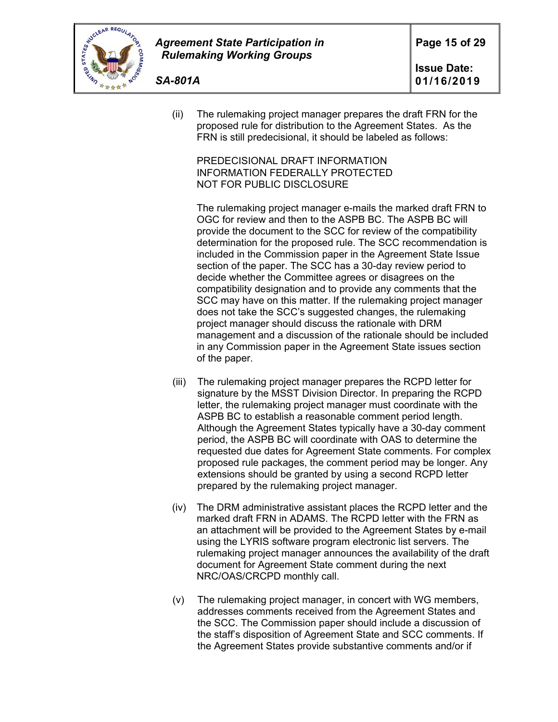

(ii) The rulemaking project manager prepares the draft FRN for the proposed rule for distribution to the Agreement States. As the FRN is still predecisional, it should be labeled as follows:

PREDECISIONAL DRAFT INFORMATION INFORMATION FEDERALLY PROTECTED NOT FOR PUBLIC DISCLOSURE

The rulemaking project manager e-mails the marked draft FRN to OGC for review and then to the ASPB BC. The ASPB BC will provide the document to the SCC for review of the compatibility determination for the proposed rule. The SCC recommendation is included in the Commission paper in the Agreement State Issue section of the paper. The SCC has a 30-day review period to decide whether the Committee agrees or disagrees on the compatibility designation and to provide any comments that the SCC may have on this matter. If the rulemaking project manager does not take the SCC's suggested changes, the rulemaking project manager should discuss the rationale with DRM management and a discussion of the rationale should be included in any Commission paper in the Agreement State issues section of the paper.

- (iii) The rulemaking project manager prepares the RCPD letter for signature by the MSST Division Director. In preparing the RCPD letter, the rulemaking project manager must coordinate with the ASPB BC to establish a reasonable comment period length. Although the Agreement States typically have a 30-day comment period, the ASPB BC will coordinate with OAS to determine the requested due dates for Agreement State comments. For complex proposed rule packages, the comment period may be longer. Any extensions should be granted by using a second RCPD letter prepared by the rulemaking project manager.
- (iv) The DRM administrative assistant places the RCPD letter and the marked draft FRN in ADAMS. The RCPD letter with the FRN as an attachment will be provided to the Agreement States by e-mail using the LYRIS software program electronic list servers. The rulemaking project manager announces the availability of the draft document for Agreement State comment during the next NRC/OAS/CRCPD monthly call.
- (v) The rulemaking project manager, in concert with WG members, addresses comments received from the Agreement States and the SCC. The Commission paper should include a discussion of the staff's disposition of Agreement State and SCC comments. If the Agreement States provide substantive comments and/or if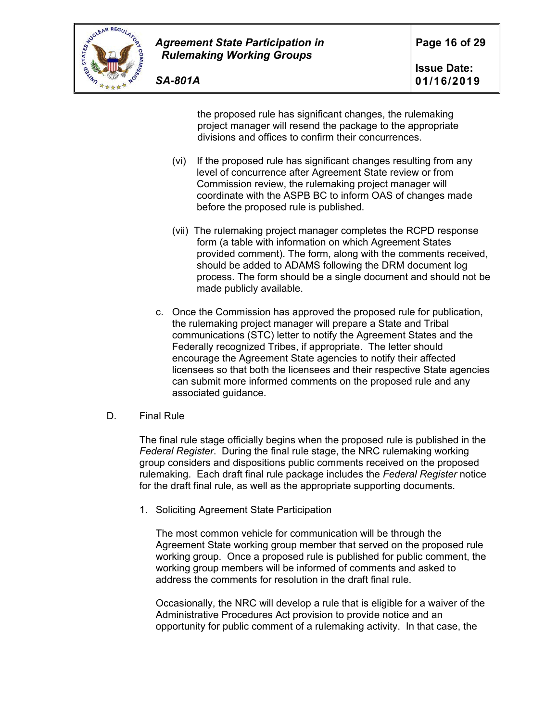

the proposed rule has significant changes, the rulemaking project manager will resend the package to the appropriate divisions and offices to confirm their concurrences.

- (vi) If the proposed rule has significant changes resulting from any level of concurrence after Agreement State review or from Commission review, the rulemaking project manager will coordinate with the ASPB BC to inform OAS of changes made before the proposed rule is published.
- (vii) The rulemaking project manager completes the RCPD response form (a table with information on which Agreement States provided comment). The form, along with the comments received, should be added to ADAMS following the DRM document log process. The form should be a single document and should not be made publicly available.
- c. Once the Commission has approved the proposed rule for publication, the rulemaking project manager will prepare a State and Tribal communications (STC) letter to notify the Agreement States and the Federally recognized Tribes, if appropriate. The letter should encourage the Agreement State agencies to notify their affected licensees so that both the licensees and their respective State agencies can submit more informed comments on the proposed rule and any associated guidance.

### D. Final Rule

The final rule stage officially begins when the proposed rule is published in the *Federal Register*. During the final rule stage, the NRC rulemaking working group considers and dispositions public comments received on the proposed rulemaking. Each draft final rule package includes the *Federal Register* notice for the draft final rule, as well as the appropriate supporting documents.

1. Soliciting Agreement State Participation

The most common vehicle for communication will be through the Agreement State working group member that served on the proposed rule working group. Once a proposed rule is published for public comment, the working group members will be informed of comments and asked to address the comments for resolution in the draft final rule.

Occasionally, the NRC will develop a rule that is eligible for a waiver of the Administrative Procedures Act provision to provide notice and an opportunity for public comment of a rulemaking activity. In that case, the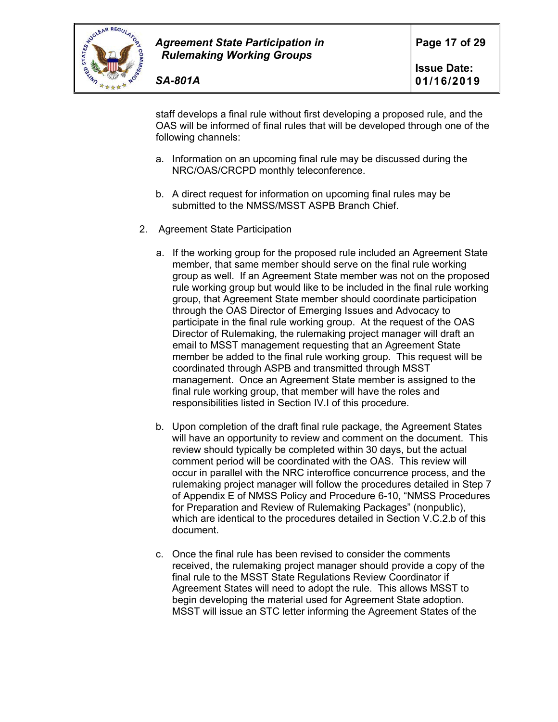

staff develops a final rule without first developing a proposed rule, and the OAS will be informed of final rules that will be developed through one of the following channels:

- a. Information on an upcoming final rule may be discussed during the NRC/OAS/CRCPD monthly teleconference.
- b. A direct request for information on upcoming final rules may be submitted to the NMSS/MSST ASPB Branch Chief.
- 2. Agreement State Participation
	- a. If the working group for the proposed rule included an Agreement State member, that same member should serve on the final rule working group as well. If an Agreement State member was not on the proposed rule working group but would like to be included in the final rule working group, that Agreement State member should coordinate participation through the OAS Director of Emerging Issues and Advocacy to participate in the final rule working group. At the request of the OAS Director of Rulemaking, the rulemaking project manager will draft an email to MSST management requesting that an Agreement State member be added to the final rule working group. This request will be coordinated through ASPB and transmitted through MSST management. Once an Agreement State member is assigned to the final rule working group, that member will have the roles and responsibilities listed in Section IV.I of this procedure.
	- b. Upon completion of the draft final rule package, the Agreement States will have an opportunity to review and comment on the document. This review should typically be completed within 30 days, but the actual comment period will be coordinated with the OAS. This review will occur in parallel with the NRC interoffice concurrence process, and the rulemaking project manager will follow the procedures detailed in Step 7 of Appendix E of NMSS Policy and Procedure 6-10, "NMSS Procedures for Preparation and Review of Rulemaking Packages" (nonpublic), which are identical to the procedures detailed in Section V.C.2.b of this document.
	- c. Once the final rule has been revised to consider the comments received, the rulemaking project manager should provide a copy of the final rule to the MSST State Regulations Review Coordinator if Agreement States will need to adopt the rule. This allows MSST to begin developing the material used for Agreement State adoption. MSST will issue an STC letter informing the Agreement States of the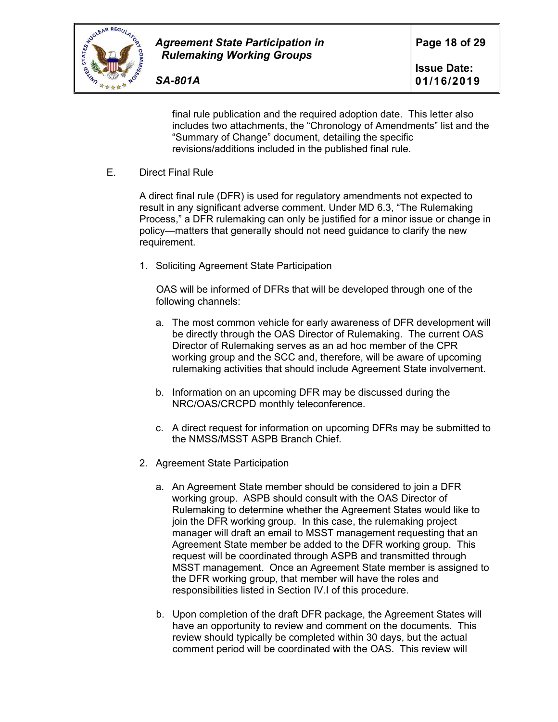

final rule publication and the required adoption date. This letter also includes two attachments, the "Chronology of Amendments" list and the "Summary of Change" document, detailing the specific revisions/additions included in the published final rule.

E. Direct Final Rule

A direct final rule (DFR) is used for regulatory amendments not expected to result in any significant adverse comment. Under MD 6.3, "The Rulemaking Process," a DFR rulemaking can only be justified for a minor issue or change in policy—matters that generally should not need guidance to clarify the new requirement.

1. Soliciting Agreement State Participation

OAS will be informed of DFRs that will be developed through one of the following channels:

- a. The most common vehicle for early awareness of DFR development will be directly through the OAS Director of Rulemaking. The current OAS Director of Rulemaking serves as an ad hoc member of the CPR working group and the SCC and, therefore, will be aware of upcoming rulemaking activities that should include Agreement State involvement.
- b. Information on an upcoming DFR may be discussed during the NRC/OAS/CRCPD monthly teleconference.
- c. A direct request for information on upcoming DFRs may be submitted to the NMSS/MSST ASPB Branch Chief.
- 2. Agreement State Participation
	- a. An Agreement State member should be considered to join a DFR working group. ASPB should consult with the OAS Director of Rulemaking to determine whether the Agreement States would like to join the DFR working group. In this case, the rulemaking project manager will draft an email to MSST management requesting that an Agreement State member be added to the DFR working group. This request will be coordinated through ASPB and transmitted through MSST management. Once an Agreement State member is assigned to the DFR working group, that member will have the roles and responsibilities listed in Section IV.I of this procedure.
	- b. Upon completion of the draft DFR package, the Agreement States will have an opportunity to review and comment on the documents. This review should typically be completed within 30 days, but the actual comment period will be coordinated with the OAS. This review will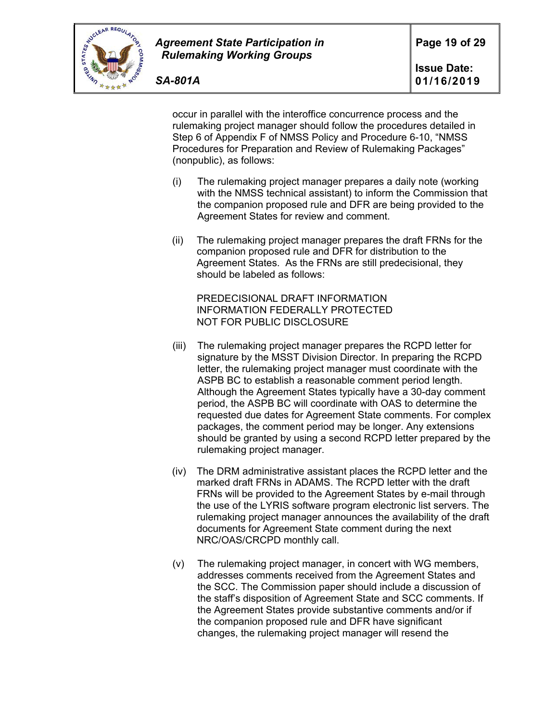

occur in parallel with the interoffice concurrence process and the rulemaking project manager should follow the procedures detailed in Step 6 of Appendix F of NMSS Policy and Procedure 6-10, "NMSS Procedures for Preparation and Review of Rulemaking Packages" (nonpublic), as follows:

- (i) The rulemaking project manager prepares a daily note (working with the NMSS technical assistant) to inform the Commission that the companion proposed rule and DFR are being provided to the Agreement States for review and comment.
- (ii) The rulemaking project manager prepares the draft FRNs for the companion proposed rule and DFR for distribution to the Agreement States. As the FRNs are still predecisional, they should be labeled as follows:

PREDECISIONAL DRAFT INFORMATION INFORMATION FEDERALLY PROTECTED NOT FOR PUBLIC DISCLOSURE

- (iii) The rulemaking project manager prepares the RCPD letter for signature by the MSST Division Director. In preparing the RCPD letter, the rulemaking project manager must coordinate with the ASPB BC to establish a reasonable comment period length. Although the Agreement States typically have a 30-day comment period, the ASPB BC will coordinate with OAS to determine the requested due dates for Agreement State comments. For complex packages, the comment period may be longer. Any extensions should be granted by using a second RCPD letter prepared by the rulemaking project manager.
- (iv) The DRM administrative assistant places the RCPD letter and the marked draft FRNs in ADAMS. The RCPD letter with the draft FRNs will be provided to the Agreement States by e-mail through the use of the LYRIS software program electronic list servers. The rulemaking project manager announces the availability of the draft documents for Agreement State comment during the next NRC/OAS/CRCPD monthly call.
- (v) The rulemaking project manager, in concert with WG members, addresses comments received from the Agreement States and the SCC. The Commission paper should include a discussion of the staff's disposition of Agreement State and SCC comments. If the Agreement States provide substantive comments and/or if the companion proposed rule and DFR have significant changes, the rulemaking project manager will resend the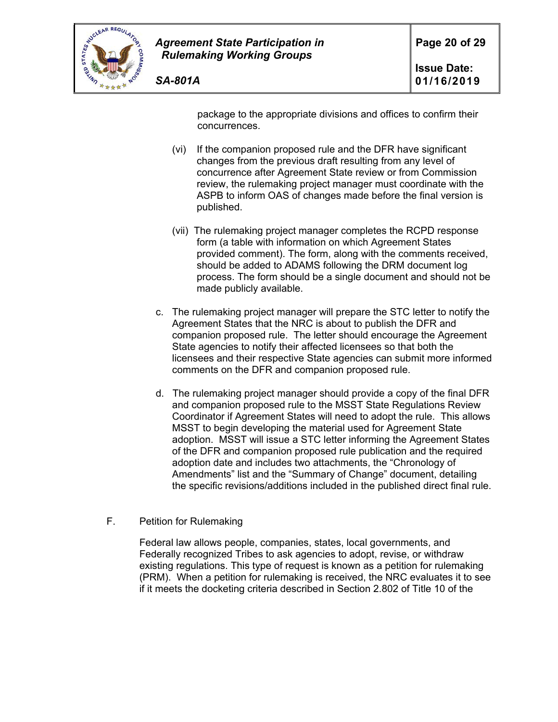

package to the appropriate divisions and offices to confirm their concurrences.

- (vi) If the companion proposed rule and the DFR have significant changes from the previous draft resulting from any level of concurrence after Agreement State review or from Commission review, the rulemaking project manager must coordinate with the ASPB to inform OAS of changes made before the final version is published.
- (vii) The rulemaking project manager completes the RCPD response form (a table with information on which Agreement States provided comment). The form, along with the comments received, should be added to ADAMS following the DRM document log process. The form should be a single document and should not be made publicly available.
- c. The rulemaking project manager will prepare the STC letter to notify the Agreement States that the NRC is about to publish the DFR and companion proposed rule. The letter should encourage the Agreement State agencies to notify their affected licensees so that both the licensees and their respective State agencies can submit more informed comments on the DFR and companion proposed rule.
- d. The rulemaking project manager should provide a copy of the final DFR and companion proposed rule to the MSST State Regulations Review Coordinator if Agreement States will need to adopt the rule. This allows MSST to begin developing the material used for Agreement State adoption. MSST will issue a STC letter informing the Agreement States of the DFR and companion proposed rule publication and the required adoption date and includes two attachments, the "Chronology of Amendments" list and the "Summary of Change" document, detailing the specific revisions/additions included in the published direct final rule.
- F. Petition for Rulemaking

Federal law allows people, companies, states, local governments, and Federally recognized Tribes to ask agencies to adopt, revise, or withdraw existing regulations. This type of request is known as a petition for rulemaking (PRM). When a petition for rulemaking is received, the NRC evaluates it to see if it meets the docketing criteria described in Section 2.802 of Title 10 of the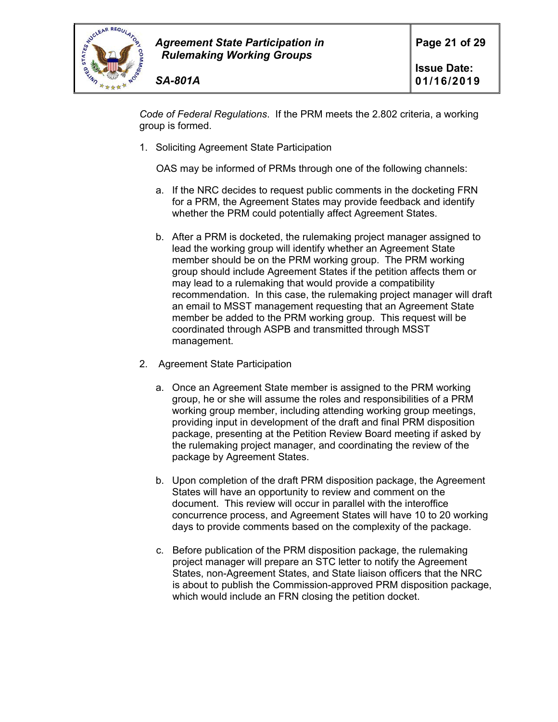

*Code of Federal Regulations*. If the PRM meets the 2.802 criteria, a working group is formed.

1. Soliciting Agreement State Participation

OAS may be informed of PRMs through one of the following channels:

- a. If the NRC decides to request public comments in the docketing FRN for a PRM, the Agreement States may provide feedback and identify whether the PRM could potentially affect Agreement States.
- b. After a PRM is docketed, the rulemaking project manager assigned to lead the working group will identify whether an Agreement State member should be on the PRM working group. The PRM working group should include Agreement States if the petition affects them or may lead to a rulemaking that would provide a compatibility recommendation. In this case, the rulemaking project manager will draft an email to MSST management requesting that an Agreement State member be added to the PRM working group. This request will be coordinated through ASPB and transmitted through MSST management.
- 2. Agreement State Participation
	- a. Once an Agreement State member is assigned to the PRM working group, he or she will assume the roles and responsibilities of a PRM working group member, including attending working group meetings, providing input in development of the draft and final PRM disposition package, presenting at the Petition Review Board meeting if asked by the rulemaking project manager, and coordinating the review of the package by Agreement States.
	- b. Upon completion of the draft PRM disposition package, the Agreement States will have an opportunity to review and comment on the document. This review will occur in parallel with the interoffice concurrence process, and Agreement States will have 10 to 20 working days to provide comments based on the complexity of the package.
	- c. Before publication of the PRM disposition package, the rulemaking project manager will prepare an STC letter to notify the Agreement States, non-Agreement States, and State liaison officers that the NRC is about to publish the Commission-approved PRM disposition package, which would include an FRN closing the petition docket.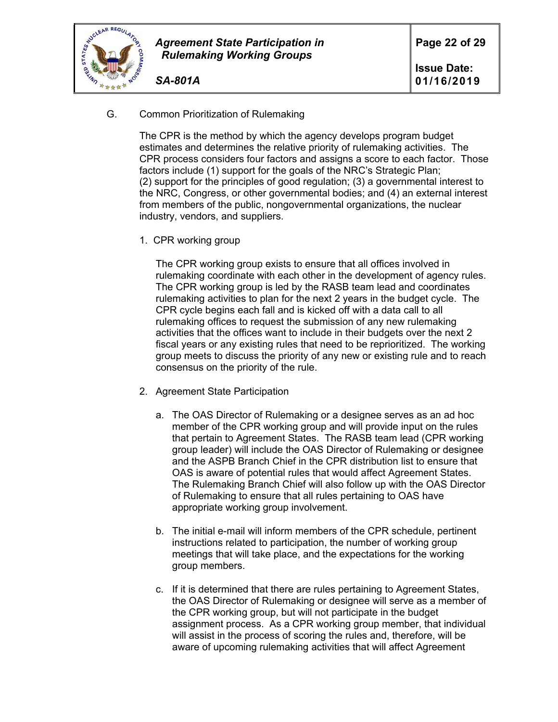

- *SA-801A*
- G. Common Prioritization of Rulemaking

The CPR is the method by which the agency develops program budget estimates and determines the relative priority of rulemaking activities. The CPR process considers four factors and assigns a score to each factor. Those factors include (1) support for the goals of the NRC's Strategic Plan; (2) support for the principles of good regulation; (3) a governmental interest to the NRC, Congress, or other governmental bodies; and (4) an external interest from members of the public, nongovernmental organizations, the nuclear industry, vendors, and suppliers.

1. CPR working group

The CPR working group exists to ensure that all offices involved in rulemaking coordinate with each other in the development of agency rules. The CPR working group is led by the RASB team lead and coordinates rulemaking activities to plan for the next 2 years in the budget cycle. The CPR cycle begins each fall and is kicked off with a data call to all rulemaking offices to request the submission of any new rulemaking activities that the offices want to include in their budgets over the next 2 fiscal years or any existing rules that need to be reprioritized. The working group meets to discuss the priority of any new or existing rule and to reach consensus on the priority of the rule.

- 2. Agreement State Participation
	- a. The OAS Director of Rulemaking or a designee serves as an ad hoc member of the CPR working group and will provide input on the rules that pertain to Agreement States. The RASB team lead (CPR working group leader) will include the OAS Director of Rulemaking or designee and the ASPB Branch Chief in the CPR distribution list to ensure that OAS is aware of potential rules that would affect Agreement States. The Rulemaking Branch Chief will also follow up with the OAS Director of Rulemaking to ensure that all rules pertaining to OAS have appropriate working group involvement.
	- b. The initial e-mail will inform members of the CPR schedule, pertinent instructions related to participation, the number of working group meetings that will take place, and the expectations for the working group members.
	- c. If it is determined that there are rules pertaining to Agreement States, the OAS Director of Rulemaking or designee will serve as a member of the CPR working group, but will not participate in the budget assignment process. As a CPR working group member, that individual will assist in the process of scoring the rules and, therefore, will be aware of upcoming rulemaking activities that will affect Agreement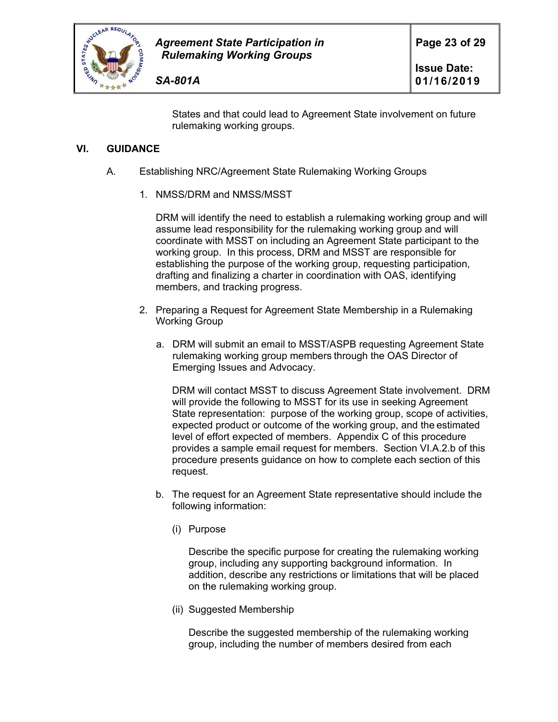

States and that could lead to Agreement State involvement on future rulemaking working groups.

## **VI. GUIDANCE**

- A. Establishing NRC/Agreement State Rulemaking Working Groups
	- 1. NMSS/DRM and NMSS/MSST

DRM will identify the need to establish a rulemaking working group and will assume lead responsibility for the rulemaking working group and will coordinate with MSST on including an Agreement State participant to the working group. In this process, DRM and MSST are responsible for establishing the purpose of the working group, requesting participation, drafting and finalizing a charter in coordination with OAS, identifying members, and tracking progress.

- 2. Preparing a Request for Agreement State Membership in a Rulemaking Working Group
	- a. DRM will submit an email to MSST/ASPB requesting Agreement State rulemaking working group members through the OAS Director of Emerging Issues and Advocacy.

DRM will contact MSST to discuss Agreement State involvement. DRM will provide the following to MSST for its use in seeking Agreement State representation: purpose of the working group, scope of activities, expected product or outcome of the working group, and the estimated level of effort expected of members. Appendix C of this procedure provides a sample email request for members. Section VI.A.2.b of this procedure presents guidance on how to complete each section of this request.

- b. The request for an Agreement State representative should include the following information:
	- (i) Purpose

Describe the specific purpose for creating the rulemaking working group, including any supporting background information. In addition, describe any restrictions or limitations that will be placed on the rulemaking working group.

(ii) Suggested Membership

Describe the suggested membership of the rulemaking working group, including the number of members desired from each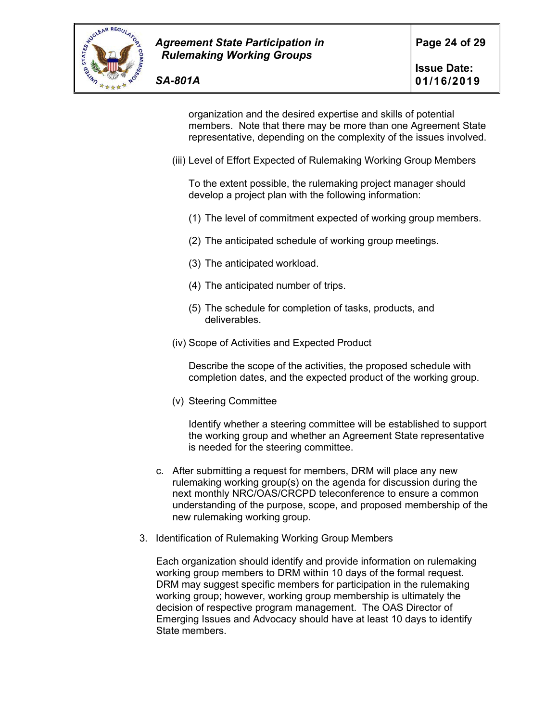

organization and the desired expertise and skills of potential members. Note that there may be more than one Agreement State representative, depending on the complexity of the issues involved.

(iii) Level of Effort Expected of Rulemaking Working Group Members

To the extent possible, the rulemaking project manager should develop a project plan with the following information:

- (1) The level of commitment expected of working group members.
- (2) The anticipated schedule of working group meetings.
- (3) The anticipated workload.
- (4) The anticipated number of trips.
- (5) The schedule for completion of tasks, products, and deliverables.
- (iv) Scope of Activities and Expected Product

Describe the scope of the activities, the proposed schedule with completion dates, and the expected product of the working group.

(v) Steering Committee

Identify whether a steering committee will be established to support the working group and whether an Agreement State representative is needed for the steering committee.

- c. After submitting a request for members, DRM will place any new rulemaking working group(s) on the agenda for discussion during the next monthly NRC/OAS/CRCPD teleconference to ensure a common understanding of the purpose, scope, and proposed membership of the new rulemaking working group.
- 3. Identification of Rulemaking Working Group Members

Each organization should identify and provide information on rulemaking working group members to DRM within 10 days of the formal request. DRM may suggest specific members for participation in the rulemaking working group; however, working group membership is ultimately the decision of respective program management. The OAS Director of Emerging Issues and Advocacy should have at least 10 days to identify State members.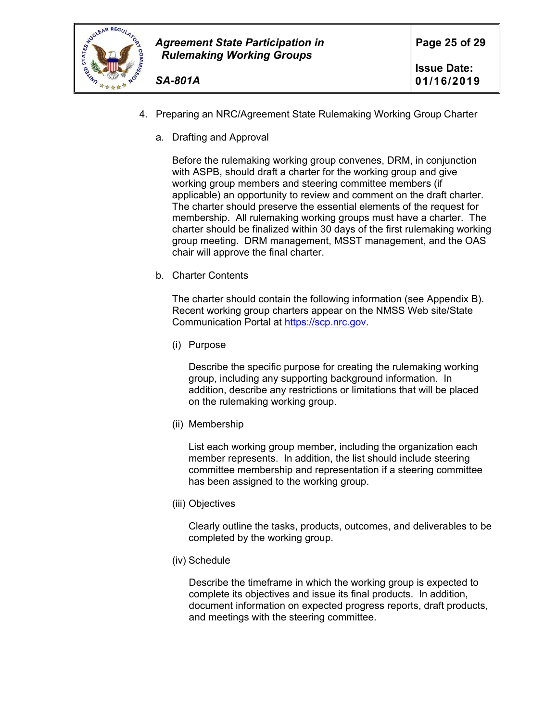

- 4. Preparing an NRC/Agreement State Rulemaking Working Group Charter
	- a. Drafting and Approval

Before the rulemaking working group convenes, DRM, in conjunction with ASPB, should draft a charter for the working group and give working group members and steering committee members (if applicable) an opportunity to review and comment on the draft charter. The charter should preserve the essential elements of the request for membership. All rulemaking working groups must have a charter. The charter should be finalized within 30 days of the first rulemaking working group meeting. DRM management, MSST management, and the OAS chair will approve the final charter.

b. Charter Contents

The charter should contain the following information (see Appendix B). Recent working group charters appear on the NMSS Web site/State Communication Portal at https://scp.nrc.gov.

(i) Purpose

Describe the specific purpose for creating the rulemaking working group, including any supporting background information. In addition, describe any restrictions or limitations that will be placed on the rulemaking working group.

(ii) Membership

List each working group member, including the organization each member represents. In addition, the list should include steering committee membership and representation if a steering committee has been assigned to the working group.

(iii) Objectives

Clearly outline the tasks, products, outcomes, and deliverables to be completed by the working group.

(iv) Schedule

Describe the timeframe in which the working group is expected to complete its objectives and issue its final products. In addition, document information on expected progress reports, draft products, and meetings with the steering committee.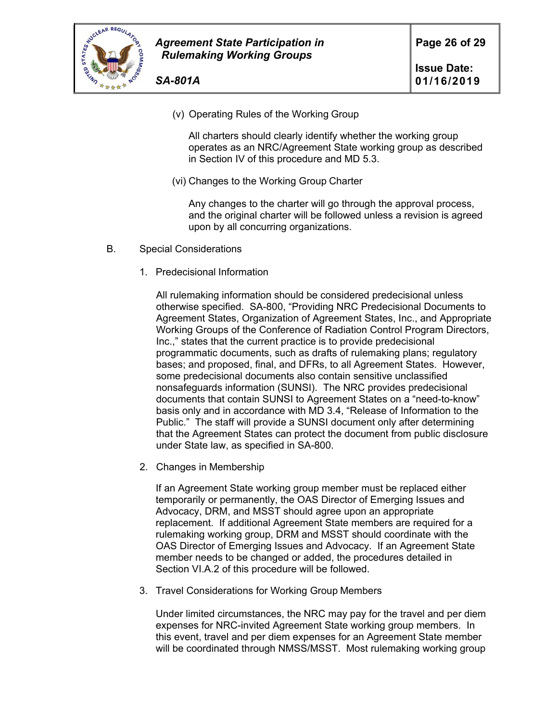

- *SA-801A*
	- (v) Operating Rules of the Working Group

All charters should clearly identify whether the working group operates as an NRC/Agreement State working group as described in Section IV of this procedure and MD 5.3.

(vi) Changes to the Working Group Charter

Any changes to the charter will go through the approval process, and the original charter will be followed unless a revision is agreed upon by all concurring organizations.

- B. Special Considerations
	- 1. Predecisional Information

All rulemaking information should be considered predecisional unless otherwise specified. SA-800, "Providing NRC Predecisional Documents to Agreement States, Organization of Agreement States, Inc., and Appropriate Working Groups of the Conference of Radiation Control Program Directors, Inc.," states that the current practice is to provide predecisional programmatic documents, such as drafts of rulemaking plans; regulatory bases; and proposed, final, and DFRs, to all Agreement States. However, some predecisional documents also contain sensitive unclassified nonsafeguards information (SUNSI). The NRC provides predecisional documents that contain SUNSI to Agreement States on a "need-to-know" basis only and in accordance with MD 3.4, "Release of Information to the Public." The staff will provide a SUNSI document only after determining that the Agreement States can protect the document from public disclosure under State law, as specified in SA-800.

2. Changes in Membership

If an Agreement State working group member must be replaced either temporarily or permanently, the OAS Director of Emerging Issues and Advocacy, DRM, and MSST should agree upon an appropriate replacement. If additional Agreement State members are required for a rulemaking working group, DRM and MSST should coordinate with the OAS Director of Emerging Issues and Advocacy. If an Agreement State member needs to be changed or added, the procedures detailed in Section VI.A.2 of this procedure will be followed.

3. Travel Considerations for Working Group Members

Under limited circumstances, the NRC may pay for the travel and per diem expenses for NRC-invited Agreement State working group members. In this event, travel and per diem expenses for an Agreement State member will be coordinated through NMSS/MSST. Most rulemaking working group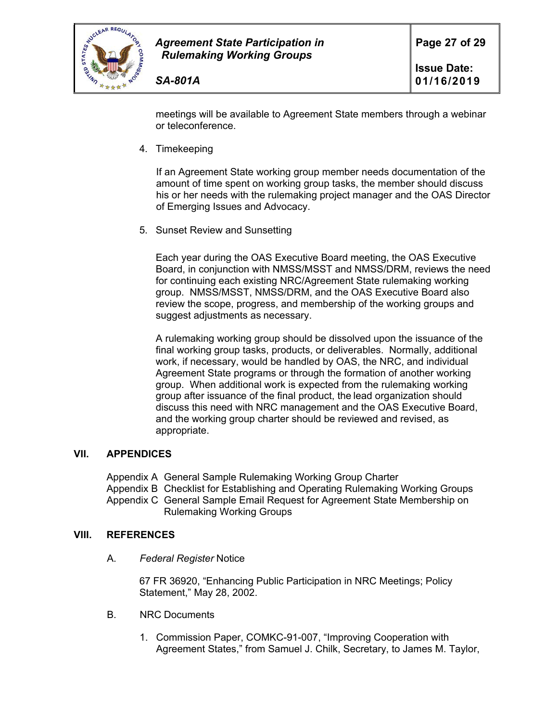

meetings will be available to Agreement State members through a webinar or teleconference.

4. Timekeeping

If an Agreement State working group member needs documentation of the amount of time spent on working group tasks, the member should discuss his or her needs with the rulemaking project manager and the OAS Director of Emerging Issues and Advocacy.

5. Sunset Review and Sunsetting

Each year during the OAS Executive Board meeting, the OAS Executive Board, in conjunction with NMSS/MSST and NMSS/DRM, reviews the need for continuing each existing NRC/Agreement State rulemaking working group. NMSS/MSST, NMSS/DRM, and the OAS Executive Board also review the scope, progress, and membership of the working groups and suggest adjustments as necessary.

A rulemaking working group should be dissolved upon the issuance of the final working group tasks, products, or deliverables. Normally, additional work, if necessary, would be handled by OAS, the NRC, and individual Agreement State programs or through the formation of another working group. When additional work is expected from the rulemaking working group after issuance of the final product, the lead organization should discuss this need with NRC management and the OAS Executive Board, and the working group charter should be reviewed and revised, as appropriate.

### **VII. APPENDICES**

Appendix A General Sample Rulemaking Working Group Charter Appendix B Checklist for Establishing and Operating Rulemaking Working Groups Appendix C General Sample Email Request for Agreement State Membership on Rulemaking Working Groups

### **VIII. REFERENCES**

A. *Federal Register* Notice

67 FR 36920, "Enhancing Public Participation in NRC Meetings; Policy Statement," May 28, 2002.

- B. NRC Documents
	- 1. Commission Paper, COMKC-91-007, "Improving Cooperation with Agreement States," from Samuel J. Chilk, Secretary, to James M. Taylor,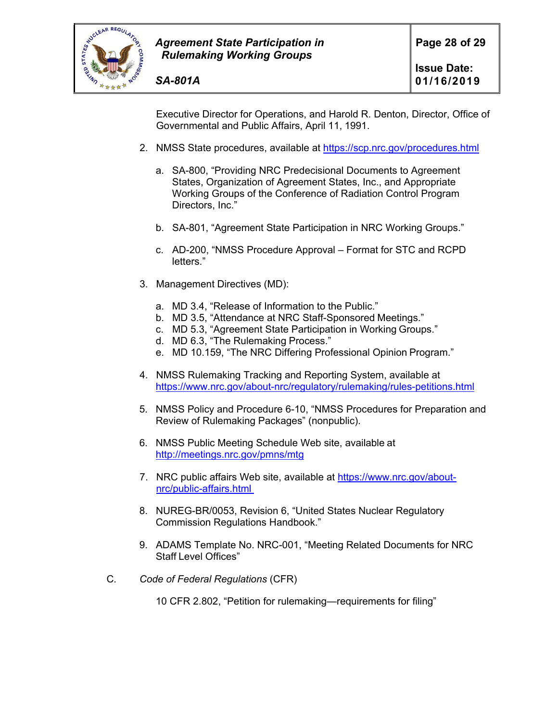

Executive Director for Operations, and Harold R. Denton, Director, Office of Governmental and Public Affairs, April 11, 1991.

- 2. NMSS State procedures, available at https://scp.nrc.gov/procedures.html
	- a. SA-800, "Providing NRC Predecisional Documents to Agreement States, Organization of Agreement States, Inc., and Appropriate Working Groups of the Conference of Radiation Control Program Directors, Inc."
	- b. SA-801, "Agreement State Participation in NRC Working Groups."
	- c. AD-200, "NMSS Procedure Approval Format for STC and RCPD letters."
- 3. Management Directives (MD):
	- a. MD 3.4, "Release of Information to the Public."
	- b. MD 3.5, "Attendance at NRC Staff-Sponsored Meetings."
	- c. MD 5.3, "Agreement State Participation in Working Groups."
	- d. MD 6.3, "The Rulemaking Process."
	- e. MD 10.159, "The NRC Differing Professional Opinion Program."
- 4. NMSS Rulemaking Tracking and Reporting System, available at https://www.nrc.gov/about-nrc/regulatory/rulemaking/rules-petitions.html
- 5. NMSS Policy and Procedure 6-10, "NMSS Procedures for Preparation and Review of Rulemaking Packages" (nonpublic).
- 6. NMSS Public Meeting Schedule Web site, available at http://meetings.nrc.gov/pmns/mtg
- 7. NRC public affairs Web site, available at https://www.nrc.gov/aboutnrc/public-affairs.html
- 8. NUREG-BR/0053, Revision 6, "United States Nuclear Regulatory Commission Regulations Handbook."
- 9. ADAMS Template No. NRC-001, "Meeting Related Documents for NRC Staff Level Offices"
- C. *Code of Federal Regulations* (CFR)

10 CFR 2.802, "Petition for rulemaking—requirements for filing"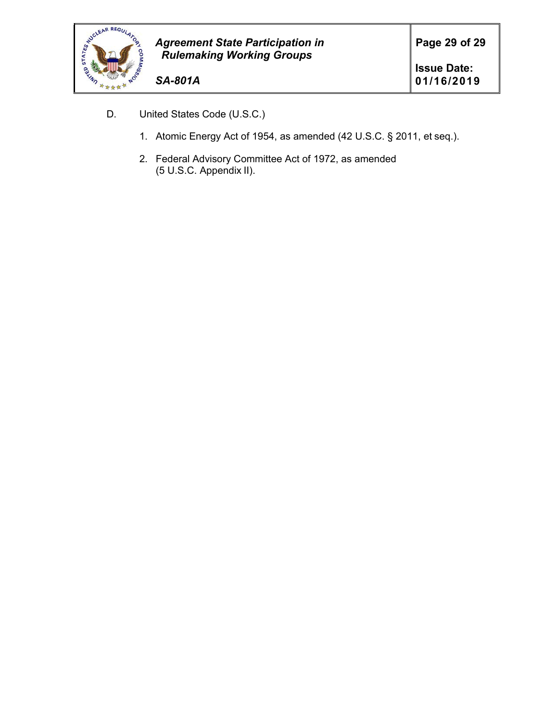

- D. United States Code (U.S.C.)
	- 1. Atomic Energy Act of 1954, as amended (42 U.S.C. § 2011, et seq.).
	- 2. Federal Advisory Committee Act of 1972, as amended (5 U.S.C. Appendix II).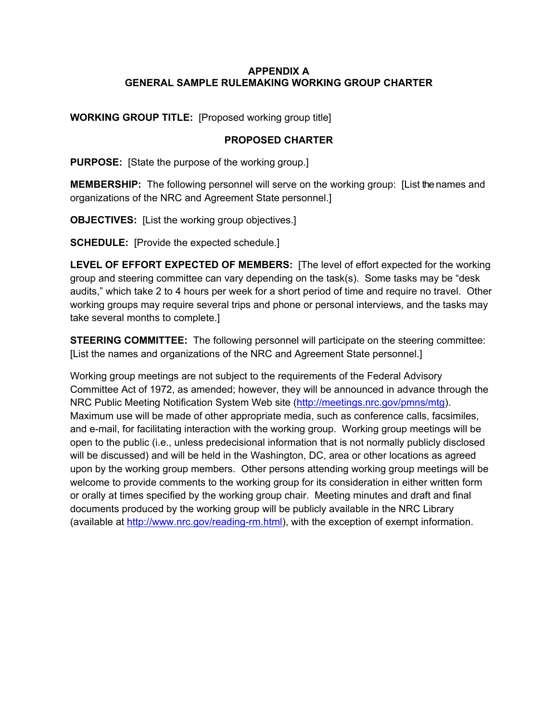### **APPENDIX A GENERAL SAMPLE RULEMAKING WORKING GROUP CHARTER**

**WORKING GROUP TITLE:** [Proposed working group title]

### **PROPOSED CHARTER**

**PURPOSE:** [State the purpose of the working group.]

**MEMBERSHIP:** The following personnel will serve on the working group: [List the names and organizations of the NRC and Agreement State personnel.]

**OBJECTIVES:** [List the working group objectives.]

**SCHEDULE:** [Provide the expected schedule.]

**LEVEL OF EFFORT EXPECTED OF MEMBERS:** [The level of effort expected for the working group and steering committee can vary depending on the task(s). Some tasks may be "desk audits," which take 2 to 4 hours per week for a short period of time and require no travel. Other working groups may require several trips and phone or personal interviews, and the tasks may take several months to complete.]

**STEERING COMMITTEE:** The following personnel will participate on the steering committee: [List the names and organizations of the NRC and Agreement State personnel.]

Working group meetings are not subject to the requirements of the Federal Advisory Committee Act of 1972, as amended; however, they will be announced in advance through the NRC Public Meeting Notification System Web site (http://meetings.nrc.gov/pmns/mtg). Maximum use will be made of other appropriate media, such as conference calls, facsimiles, and e-mail, for facilitating interaction with the working group. Working group meetings will be open to the public (i.e., unless predecisional information that is not normally publicly disclosed will be discussed) and will be held in the Washington, DC, area or other locations as agreed upon by the working group members. Other persons attending working group meetings will be welcome to provide comments to the working group for its consideration in either written form or orally at times specified by the working group chair. Meeting minutes and draft and final documents produced by the working group will be publicly available in the NRC Library (available at http://www.nrc.gov/reading-rm.html), with the exception of exempt information.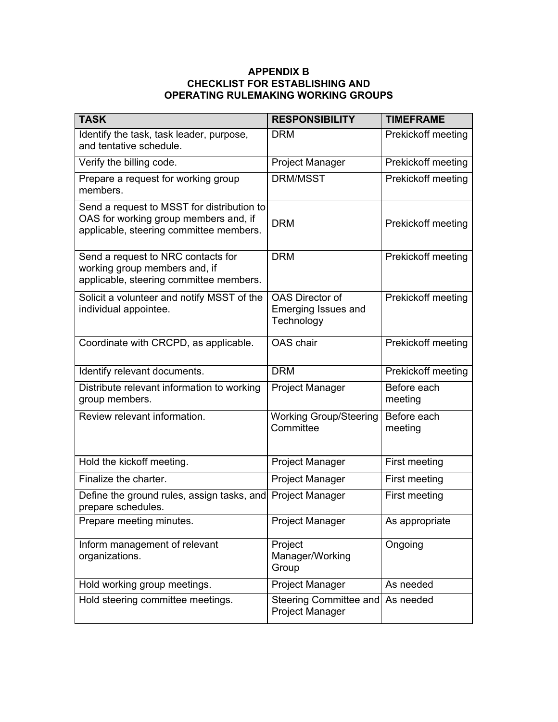### **APPENDIX B CHECKLIST FOR ESTABLISHING AND OPERATING RULEMAKING WORKING GROUPS**

| <b>TASK</b>                                                                                                                    | <b>RESPONSIBILITY</b>                                              | <b>TIMEFRAME</b>       |  |
|--------------------------------------------------------------------------------------------------------------------------------|--------------------------------------------------------------------|------------------------|--|
| Identify the task, task leader, purpose,<br>and tentative schedule.                                                            | <b>DRM</b>                                                         | Prekickoff meeting     |  |
| Verify the billing code.                                                                                                       | Project Manager                                                    | Prekickoff meeting     |  |
| Prepare a request for working group<br>members.                                                                                | DRM/MSST                                                           | Prekickoff meeting     |  |
| Send a request to MSST for distribution to<br>OAS for working group members and, if<br>applicable, steering committee members. | <b>DRM</b>                                                         | Prekickoff meeting     |  |
| Send a request to NRC contacts for<br>working group members and, if<br>applicable, steering committee members.                 | <b>DRM</b>                                                         | Prekickoff meeting     |  |
| Solicit a volunteer and notify MSST of the<br>individual appointee.                                                            | <b>OAS Director of</b><br><b>Emerging Issues and</b><br>Technology | Prekickoff meeting     |  |
| Coordinate with CRCPD, as applicable.                                                                                          | OAS chair                                                          | Prekickoff meeting     |  |
| Identify relevant documents.                                                                                                   | <b>DRM</b>                                                         | Prekickoff meeting     |  |
| Distribute relevant information to working<br>group members.                                                                   | Project Manager                                                    | Before each<br>meeting |  |
| Review relevant information.                                                                                                   | Working Group/Steering<br>Committee                                | Before each<br>meeting |  |
| Hold the kickoff meeting.                                                                                                      | <b>Project Manager</b>                                             | First meeting          |  |
| Finalize the charter.                                                                                                          | Project Manager                                                    | First meeting          |  |
| Define the ground rules, assign tasks, and<br>prepare schedules.                                                               | <b>Project Manager</b>                                             | First meeting          |  |
| Prepare meeting minutes.                                                                                                       | <b>Project Manager</b>                                             | As appropriate         |  |
| Inform management of relevant<br>organizations.                                                                                | Project<br>Manager/Working<br>Group                                | Ongoing                |  |
| Hold working group meetings.                                                                                                   | Project Manager                                                    | As needed              |  |
| Hold steering committee meetings.                                                                                              | <b>Steering Committee and</b><br>Project Manager                   | As needed              |  |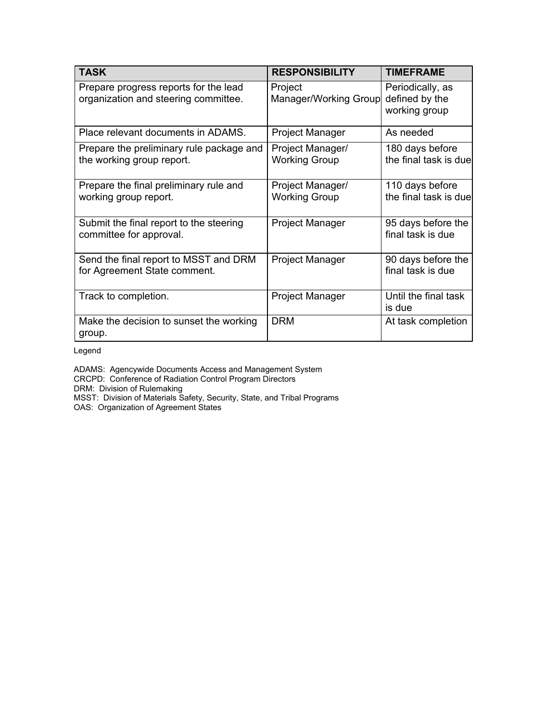| <b>TASK</b>                                                                   | <b>RESPONSIBILITY</b>                    | <b>TIMEFRAME</b>                                    |
|-------------------------------------------------------------------------------|------------------------------------------|-----------------------------------------------------|
| Prepare progress reports for the lead<br>organization and steering committee. | Project<br>Manager/Working Group         | Periodically, as<br>defined by the<br>working group |
| Place relevant documents in ADAMS.                                            | Project Manager                          | As needed                                           |
| Prepare the preliminary rule package and<br>the working group report.         | Project Manager/<br><b>Working Group</b> | 180 days before<br>the final task is due            |
| Prepare the final preliminary rule and<br>working group report.               | Project Manager/<br><b>Working Group</b> | 110 days before<br>the final task is due            |
| Submit the final report to the steering<br>committee for approval.            | Project Manager                          | 95 days before the<br>final task is due             |
| Send the final report to MSST and DRM<br>for Agreement State comment.         | Project Manager                          | 90 days before the<br>final task is due             |
| Track to completion.                                                          | Project Manager                          | Until the final task<br>is due                      |
| Make the decision to sunset the working<br>group.                             | <b>DRM</b>                               | At task completion                                  |

Legend

ADAMS: Agencywide Documents Access and Management System CRCPD: Conference of Radiation Control Program Directors DRM: Division of Rulemaking MSST: Division of Materials Safety, Security, State, and Tribal Programs

OAS: Organization of Agreement States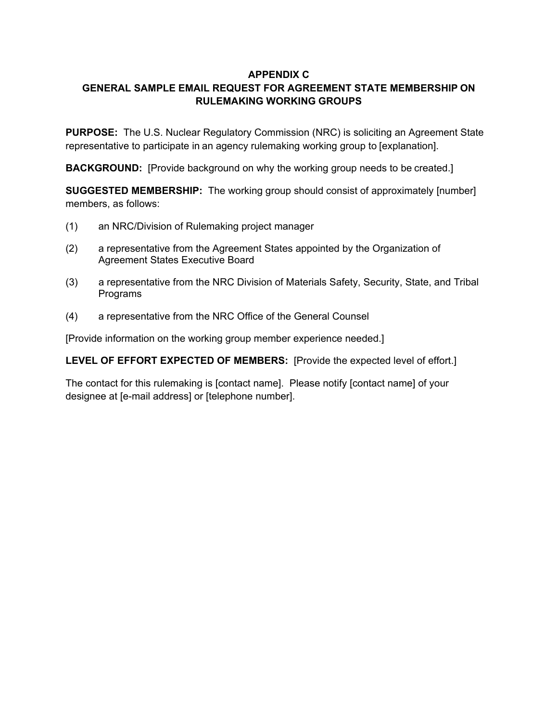### **APPENDIX C**

# **GENERAL SAMPLE EMAIL REQUEST FOR AGREEMENT STATE MEMBERSHIP ON RULEMAKING WORKING GROUPS**

**PURPOSE:** The U.S. Nuclear Regulatory Commission (NRC) is soliciting an Agreement State representative to participate in an agency rulemaking working group to [explanation].

**BACKGROUND:** [Provide background on why the working group needs to be created.]

**SUGGESTED MEMBERSHIP:** The working group should consist of approximately [number] members, as follows:

- (1) an NRC/Division of Rulemaking project manager
- (2) a representative from the Agreement States appointed by the Organization of Agreement States Executive Board
- (3) a representative from the NRC Division of Materials Safety, Security, State, and Tribal Programs
- (4) a representative from the NRC Office of the General Counsel

[Provide information on the working group member experience needed.]

**LEVEL OF EFFORT EXPECTED OF MEMBERS:** [Provide the expected level of effort.]

The contact for this rulemaking is [contact name]. Please notify [contact name] of your designee at [e-mail address] or [telephone number].